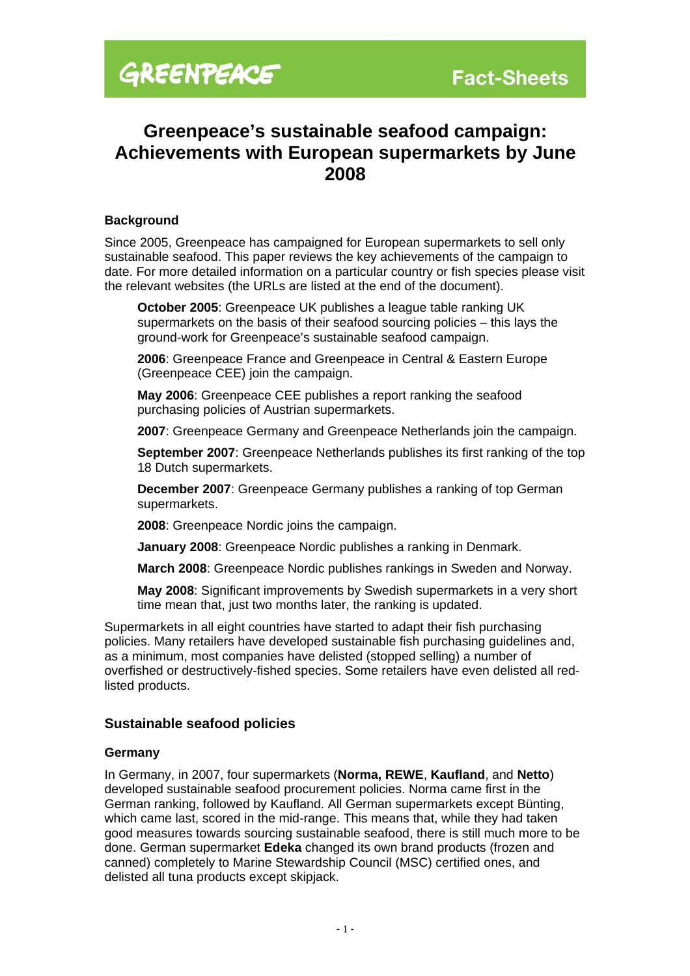# **Greenpeace's sustainable seafood campaign: Achievements with European supermarkets by June 2008**

#### **Background**

Since 2005, Greenpeace has campaigned for European supermarkets to sell only sustainable seafood. This paper reviews the key achievements of the campaign to date. For more detailed information on a particular country or fish species please visit the relevant websites (the URLs are listed at the end of the document).

**October 2005**: Greenpeace UK publishes a league table ranking UK supermarkets on the basis of their seafood sourcing policies – this lays the ground-work for Greenpeace's sustainable seafood campaign.

**2006**: Greenpeace France and Greenpeace in Central & Eastern Europe (Greenpeace CEE) join the campaign.

**May 2006**: Greenpeace CEE publishes a report ranking the seafood purchasing policies of Austrian supermarkets.

**2007**: Greenpeace Germany and Greenpeace Netherlands join the campaign.

**September 2007**: Greenpeace Netherlands publishes its first ranking of the top 18 Dutch supermarkets.

**December 2007**: Greenpeace Germany publishes a ranking of top German supermarkets.

**2008**: Greenpeace Nordic joins the campaign.

**January 2008**: Greenpeace Nordic publishes a ranking in Denmark.

**March 2008**: Greenpeace Nordic publishes rankings in Sweden and Norway.

**May 2008**: Significant improvements by Swedish supermarkets in a very short time mean that, just two months later, the ranking is updated.

Supermarkets in all eight countries have started to adapt their fish purchasing policies. Many retailers have developed sustainable fish purchasing guidelines and, as a minimum, most companies have delisted (stopped selling) a number of overfished or destructively-fished species. Some retailers have even delisted all redlisted products.

#### **Sustainable seafood policies**

#### **Germany**

In Germany, in 2007, four supermarkets (**Norma, REWE**, **Kaufland**, and **Netto**) developed sustainable seafood procurement policies. Norma came first in the German ranking, followed by Kaufland. All German supermarkets except Bünting, which came last, scored in the mid-range. This means that, while they had taken good measures towards sourcing sustainable seafood, there is still much more to be done. German supermarket **Edeka** changed its own brand products (frozen and canned) completely to Marine Stewardship Council (MSC) certified ones, and delisted all tuna products except skipjack.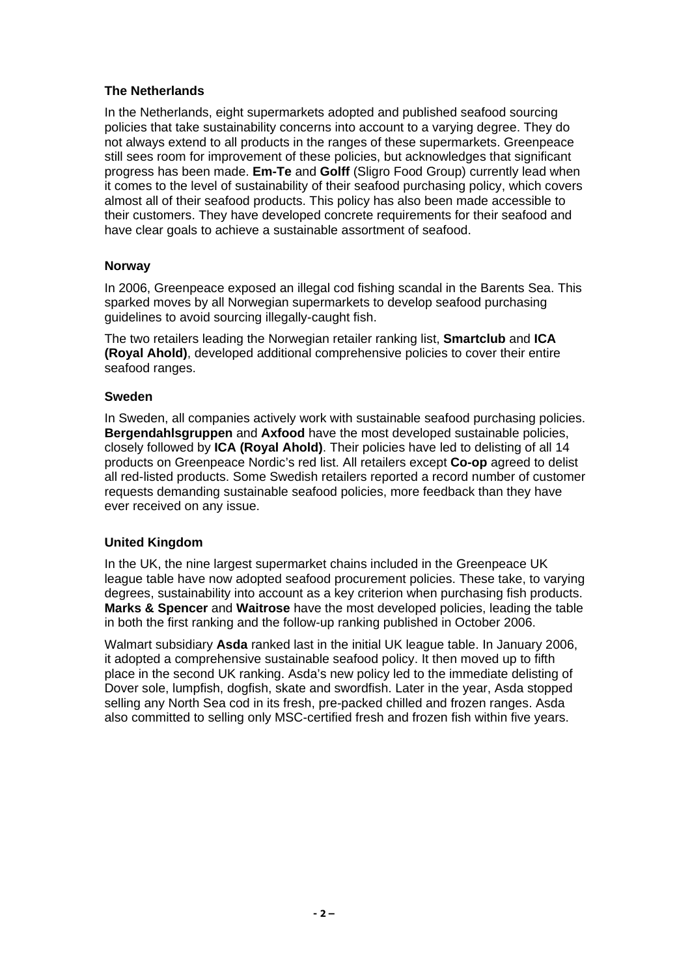#### **The Netherlands**

In the Netherlands, eight supermarkets adopted and published seafood sourcing policies that take sustainability concerns into account to a varying degree. They do not always extend to all products in the ranges of these supermarkets. Greenpeace still sees room for improvement of these policies, but acknowledges that significant progress has been made. **Em-Te** and **Golff** (Sligro Food Group) currently lead when it comes to the level of sustainability of their seafood purchasing policy, which covers almost all of their seafood products. This policy has also been made accessible to their customers. They have developed concrete requirements for their seafood and have clear goals to achieve a sustainable assortment of seafood.

### **Norway**

In 2006, Greenpeace exposed an illegal cod fishing scandal in the Barents Sea. This sparked moves by all Norwegian supermarkets to develop seafood purchasing guidelines to avoid sourcing illegally-caught fish.

The two retailers leading the Norwegian retailer ranking list, **Smartclub** and **ICA (Royal Ahold)**, developed additional comprehensive policies to cover their entire seafood ranges.

#### **Sweden**

In Sweden, all companies actively work with sustainable seafood purchasing policies. **Bergendahlsgruppen** and **Axfood** have the most developed sustainable policies, closely followed by **ICA (Royal Ahold)**. Their policies have led to delisting of all 14 products on Greenpeace Nordic's red list. All retailers except **Co-op** agreed to delist all red-listed products. Some Swedish retailers reported a record number of customer requests demanding sustainable seafood policies, more feedback than they have ever received on any issue.

## **United Kingdom**

In the UK, the nine largest supermarket chains included in the Greenpeace UK league table have now adopted seafood procurement policies. These take, to varying degrees, sustainability into account as a key criterion when purchasing fish products. **Marks & Spencer** and **Waitrose** have the most developed policies, leading the table in both the first ranking and the follow-up ranking published in October 2006.

Walmart subsidiary **Asda** ranked last in the initial UK league table. In January 2006, it adopted a comprehensive sustainable seafood policy. It then moved up to fifth place in the second UK ranking. Asda's new policy led to the immediate delisting of Dover sole, lumpfish, dogfish, skate and swordfish. Later in the year, Asda stopped selling any North Sea cod in its fresh, pre-packed chilled and frozen ranges. Asda also committed to selling only MSC-certified fresh and frozen fish within five years.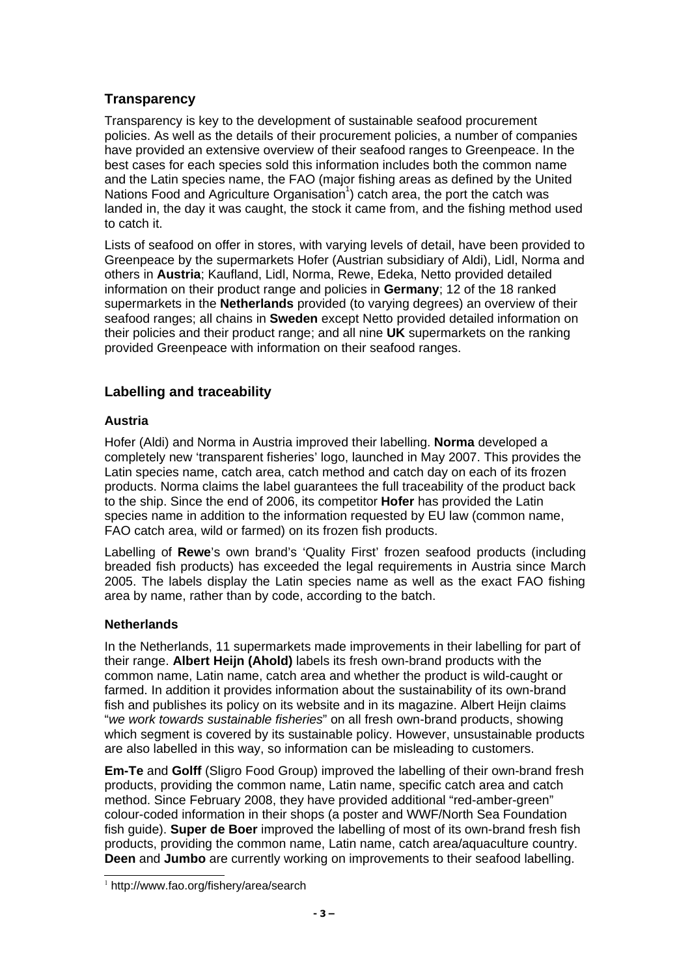# **Transparency**

Transparency is key to the development of sustainable seafood procurement policies. As well as the details of their procurement policies, a number of companies have provided an extensive overview of their seafood ranges to Greenpeace. In the best cases for each species sold this information includes both the common name and the Latin species name, the FAO (major fishing areas as defined by the United Nations Food and Agriculture Organisation<sup>[1](#page-2-0)</sup>) catch area, the port the catch was landed in, the day it was caught, the stock it came from, and the fishing method used to catch it.

Lists of seafood on offer in stores, with varying levels of detail, have been provided to Greenpeace by the supermarkets Hofer (Austrian subsidiary of Aldi), Lidl, Norma and others in **Austria**; Kaufland, Lidl, Norma, Rewe, Edeka, Netto provided detailed information on their product range and policies in **Germany**; 12 of the 18 ranked supermarkets in the **Netherlands** provided (to varying degrees) an overview of their seafood ranges; all chains in **Sweden** except Netto provided detailed information on their policies and their product range; and all nine **UK** supermarkets on the ranking provided Greenpeace with information on their seafood ranges.

# **Labelling and traceability**

## **Austria**

Hofer (Aldi) and Norma in Austria improved their labelling. **Norma** developed a completely new 'transparent fisheries' logo, launched in May 2007. This provides the Latin species name, catch area, catch method and catch day on each of its frozen products. Norma claims the label guarantees the full traceability of the product back to the ship. Since the end of 2006, its competitor **Hofer** has provided the Latin species name in addition to the information requested by EU law (common name, FAO catch area, wild or farmed) on its frozen fish products.

Labelling of **Rewe**'s own brand's 'Quality First' frozen seafood products (including breaded fish products) has exceeded the legal requirements in Austria since March 2005. The labels display the Latin species name as well as the exact FAO fishing area by name, rather than by code, according to the batch.

#### **Netherlands**

In the Netherlands, 11 supermarkets made improvements in their labelling for part of their range. **Albert Heijn (Ahold)** labels its fresh own-brand products with the common name, Latin name, catch area and whether the product is wild-caught or farmed. In addition it provides information about the sustainability of its own-brand fish and publishes its policy on its website and in its magazine. Albert Heijn claims "we work towards sustainable fisheries" on all fresh own-brand products, showing which segment is covered by its sustainable policy. However, unsustainable products are also labelled in this way, so information can be misleading to customers.

**Em-Te** and **Golff** (Sligro Food Group) improved the labelling of their own-brand fresh products, providing the common name, Latin name, specific catch area and catch method. Since February 2008, they have provided additional "red-amber-green" colour-coded information in their shops (a poster and WWF/North Sea Foundation fish guide). **Super de Boer** improved the labelling of most of its own-brand fresh fish products, providing the common name, Latin name, catch area/aquaculture country. **Deen** and **Jumbo** are currently working on improvements to their seafood labelling.

<span id="page-2-0"></span><sup>1</sup> http://www.fao.org/fishery/area/search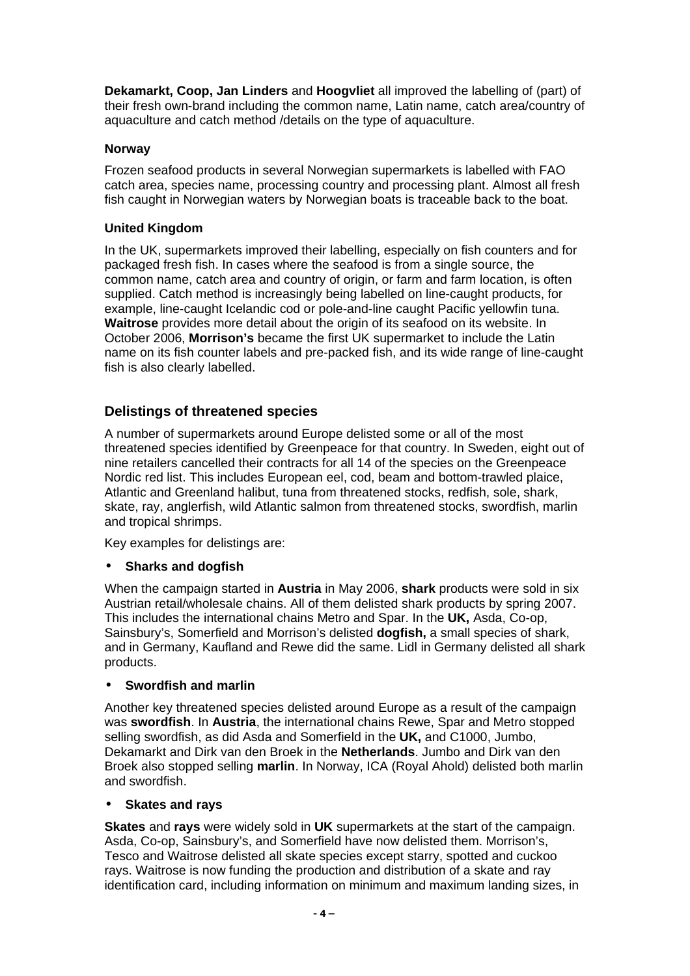**Dekamarkt, Coop, Jan Linders** and **Hoogvliet** all improved the labelling of (part) of their fresh own-brand including the common name, Latin name, catch area/country of aquaculture and catch method /details on the type of aquaculture.

#### **Norway**

Frozen seafood products in several Norwegian supermarkets is labelled with FAO catch area, species name, processing country and processing plant. Almost all fresh fish caught in Norwegian waters by Norwegian boats is traceable back to the boat.

## **United Kingdom**

In the UK, supermarkets improved their labelling, especially on fish counters and for packaged fresh fish. In cases where the seafood is from a single source, the common name, catch area and country of origin, or farm and farm location, is often supplied. Catch method is increasingly being labelled on line-caught products, for example, line-caught Icelandic cod or pole-and-line caught Pacific yellowfin tuna. **Waitrose** provides more detail about the origin of its seafood on its website. In October 2006, **Morrison's** became the first UK supermarket to include the Latin name on its fish counter labels and pre-packed fish, and its wide range of line-caught fish is also clearly labelled.

# **Delistings of threatened species**

A number of supermarkets around Europe delisted some or all of the most threatened species identified by Greenpeace for that country. In Sweden, eight out of nine retailers cancelled their contracts for all 14 of the species on the Greenpeace Nordic red list. This includes European eel, cod, beam and bottom-trawled plaice, Atlantic and Greenland halibut, tuna from threatened stocks, redfish, sole, shark, skate, ray, anglerfish, wild Atlantic salmon from threatened stocks, swordfish, marlin and tropical shrimps.

Key examples for delistings are:

## • **Sharks and dogfish**

When the campaign started in **Austria** in May 2006, **shark** products were sold in six Austrian retail/wholesale chains. All of them delisted shark products by spring 2007. This includes the international chains Metro and Spar. In the **UK,** Asda, Co-op, Sainsbury's, Somerfield and Morrison's delisted **dogfish,** a small species of shark, and in Germany, Kaufland and Rewe did the same. Lidl in Germany delisted all shark products.

#### • **Swordfish and marlin**

Another key threatened species delisted around Europe as a result of the campaign was **swordfish**. In **Austria**, the international chains Rewe, Spar and Metro stopped selling swordfish, as did Asda and Somerfield in the **UK,** and C1000, Jumbo, Dekamarkt and Dirk van den Broek in the **Netherlands**. Jumbo and Dirk van den Broek also stopped selling **marlin**. In Norway, ICA (Royal Ahold) delisted both marlin and swordfish.

#### • **Skates and rays**

**Skates** and **rays** were widely sold in **UK** supermarkets at the start of the campaign. Asda, Co-op, Sainsbury's, and Somerfield have now delisted them. Morrison's, Tesco and Waitrose delisted all skate species except starry, spotted and cuckoo rays. Waitrose is now funding the production and distribution of a skate and ray identification card, including information on minimum and maximum landing sizes, in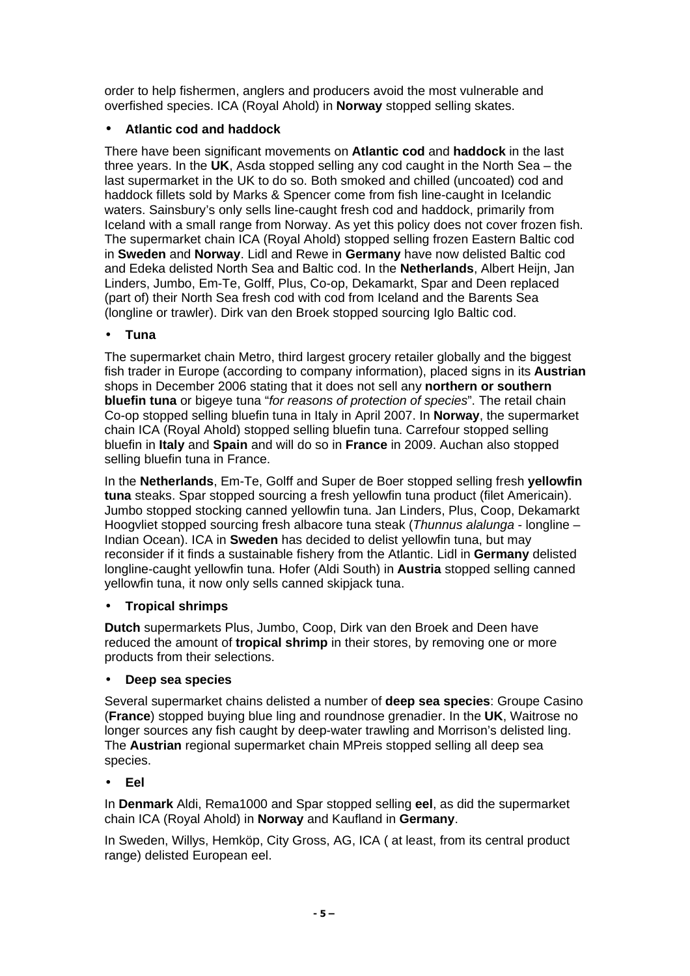order to help fishermen, anglers and producers avoid the most vulnerable and overfished species. ICA (Royal Ahold) in **Norway** stopped selling skates.

# • **Atlantic cod and haddock**

There have been significant movements on **Atlantic cod** and **haddock** in the last three years. In the **UK**, Asda stopped selling any cod caught in the North Sea – the last supermarket in the UK to do so. Both smoked and chilled (uncoated) cod and haddock fillets sold by Marks & Spencer come from fish line-caught in Icelandic waters. Sainsbury's only sells line-caught fresh cod and haddock, primarily from Iceland with a small range from Norway. As yet this policy does not cover frozen fish. The supermarket chain ICA (Royal Ahold) stopped selling frozen Eastern Baltic cod in **Sweden** and **Norway**. Lidl and Rewe in **Germany** have now delisted Baltic cod and Edeka delisted North Sea and Baltic cod. In the **Netherlands**, Albert Heijn, Jan Linders, Jumbo, Em-Te, Golff, Plus, Co-op, Dekamarkt, Spar and Deen replaced (part of) their North Sea fresh cod with cod from Iceland and the Barents Sea (longline or trawler). Dirk van den Broek stopped sourcing Iglo Baltic cod.

## • **Tuna**

The supermarket chain Metro, third largest grocery retailer globally and the biggest fish trader in Europe (according to company information), placed signs in its **Austrian** shops in December 2006 stating that it does not sell any **northern or southern bluefin tuna** or bigeye tuna "for reasons of protection of species". The retail chain Co-op stopped selling bluefin tuna in Italy in April 2007. In **Norway**, the supermarket chain ICA (Royal Ahold) stopped selling bluefin tuna. Carrefour stopped selling bluefin in **Italy** and **Spain** and will do so in **France** in 2009. Auchan also stopped selling bluefin tuna in France.

In the **Netherlands**, Em-Te, Golff and Super de Boer stopped selling fresh **yellowfin tuna** steaks. Spar stopped sourcing a fresh yellowfin tuna product (filet Americain). Jumbo stopped stocking canned yellowfin tuna. Jan Linders, Plus, Coop, Dekamarkt Hoogvliet stopped sourcing fresh albacore tuna steak (Thunnus alalunga - longline – Indian Ocean). ICA in **Sweden** has decided to delist yellowfin tuna, but may reconsider if it finds a sustainable fishery from the Atlantic. Lidl in **Germany** delisted longline-caught yellowfin tuna. Hofer (Aldi South) in **Austria** stopped selling canned yellowfin tuna, it now only sells canned skipjack tuna.

## • **Tropical shrimps**

**Dutch** supermarkets Plus, Jumbo, Coop, Dirk van den Broek and Deen have reduced the amount of **tropical shrimp** in their stores, by removing one or more products from their selections.

## • **Deep sea species**

Several supermarket chains delisted a number of **deep sea species**: Groupe Casino (**France**) stopped buying blue ling and roundnose grenadier. In the **UK**, Waitrose no longer sources any fish caught by deep-water trawling and Morrison's delisted ling. The **Austrian** regional supermarket chain MPreis stopped selling all deep sea species.

## • **Eel**

In **Denmark** Aldi, Rema1000 and Spar stopped selling **eel**, as did the supermarket chain ICA (Royal Ahold) in **Norway** and Kaufland in **Germany**.

In Sweden, Willys, Hemköp, City Gross, AG, ICA ( at least, from its central product range) delisted European eel.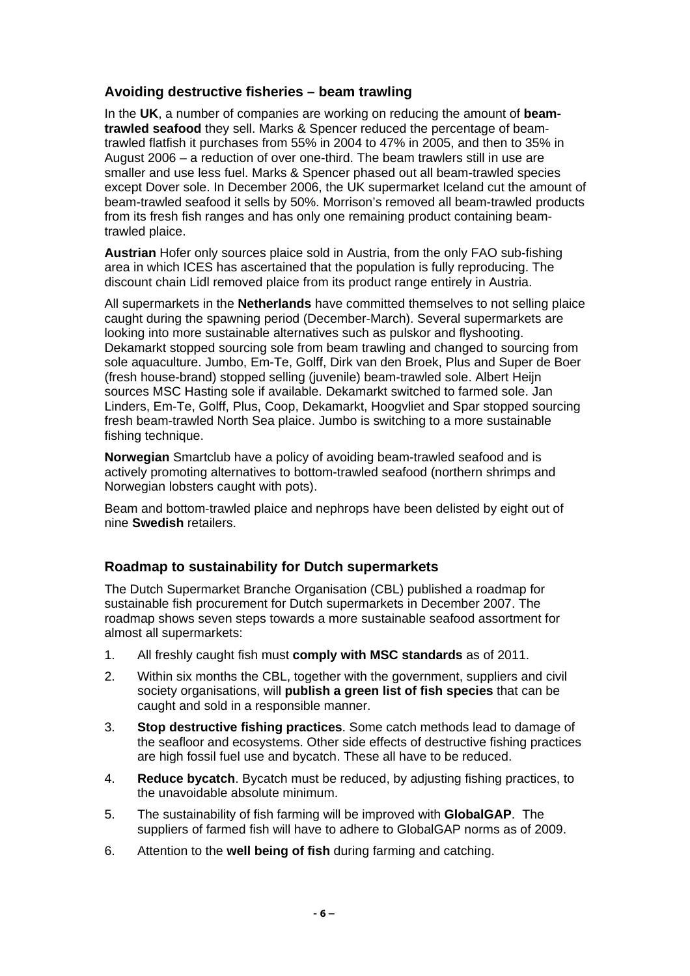## **Avoiding destructive fisheries – beam trawling**

In the **UK**, a number of companies are working on reducing the amount of **beamtrawled seafood** they sell. Marks & Spencer reduced the percentage of beamtrawled flatfish it purchases from 55% in 2004 to 47% in 2005, and then to 35% in August 2006 – a reduction of over one-third. The beam trawlers still in use are smaller and use less fuel. Marks & Spencer phased out all beam-trawled species except Dover sole. In December 2006, the UK supermarket Iceland cut the amount of beam-trawled seafood it sells by 50%. Morrison's removed all beam-trawled products from its fresh fish ranges and has only one remaining product containing beamtrawled plaice.

**Austrian** Hofer only sources plaice sold in Austria, from the only FAO sub-fishing area in which ICES has ascertained that the population is fully reproducing. The discount chain Lidl removed plaice from its product range entirely in Austria.

All supermarkets in the **Netherlands** have committed themselves to not selling plaice caught during the spawning period (December-March). Several supermarkets are looking into more sustainable alternatives such as pulskor and flyshooting. Dekamarkt stopped sourcing sole from beam trawling and changed to sourcing from sole aquaculture. Jumbo, Em-Te, Golff, Dirk van den Broek, Plus and Super de Boer (fresh house-brand) stopped selling (juvenile) beam-trawled sole. Albert Heijn sources MSC Hasting sole if available. Dekamarkt switched to farmed sole. Jan Linders, Em-Te, Golff, Plus, Coop, Dekamarkt, Hoogvliet and Spar stopped sourcing fresh beam-trawled North Sea plaice. Jumbo is switching to a more sustainable fishing technique.

**Norwegian** Smartclub have a policy of avoiding beam-trawled seafood and is actively promoting alternatives to bottom-trawled seafood (northern shrimps and Norwegian lobsters caught with pots).

Beam and bottom-trawled plaice and nephrops have been delisted by eight out of nine **Swedish** retailers.

## **Roadmap to sustainability for Dutch supermarkets**

The Dutch Supermarket Branche Organisation (CBL) published a roadmap for sustainable fish procurement for Dutch supermarkets in December 2007. The roadmap shows seven steps towards a more sustainable seafood assortment for almost all supermarkets:

- 1. All freshly caught fish must **comply with MSC standards** as of 2011.
- 2. Within six months the CBL, together with the government, suppliers and civil society organisations, will **publish a green list of fish species** that can be caught and sold in a responsible manner.
- 3. **Stop destructive fishing practices**. Some catch methods lead to damage of the seafloor and ecosystems. Other side effects of destructive fishing practices are high fossil fuel use and bycatch. These all have to be reduced.
- 4. **Reduce bycatch**. Bycatch must be reduced, by adjusting fishing practices, to the unavoidable absolute minimum.
- 5. The sustainability of fish farming will be improved with **GlobalGAP**. The suppliers of farmed fish will have to adhere to GlobalGAP norms as of 2009.
- 6. Attention to the **well being of fish** during farming and catching.